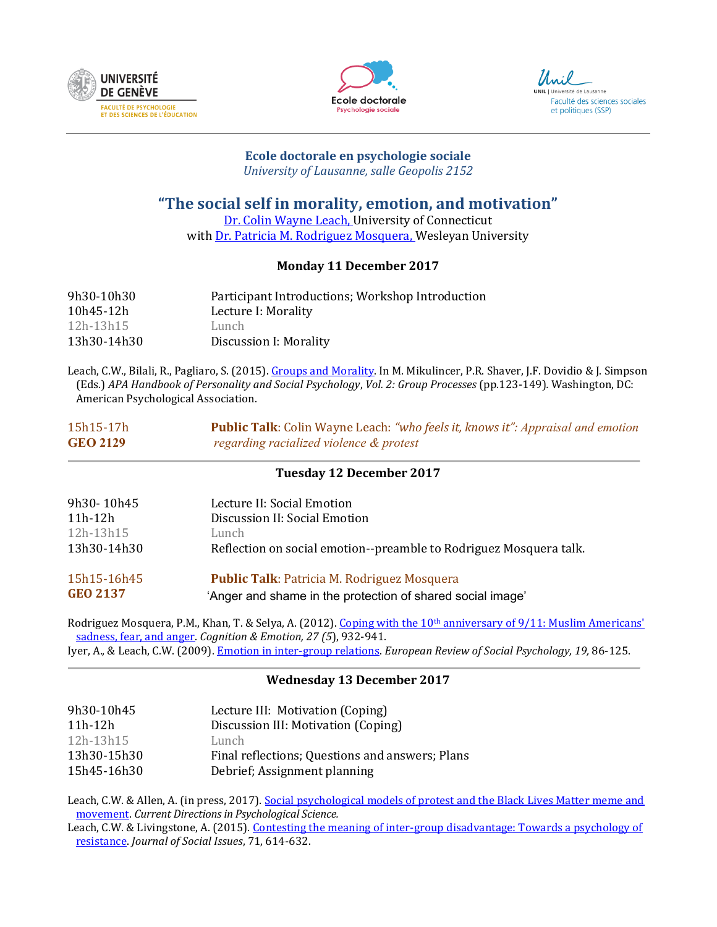





# **Ecole doctorale en psychologie sociale**

*University of Lausanne, salle Geopolis 2152*

## **"The social self in morality, emotion, and motivation"**

[Dr. Colin Wayne Leach,](http://colinwayneleach.weebly.com/) University of Connecticut with [Dr. Patricia M. Rodriguez Mosquera,](http://culture-and-emotion.research.wesleyan.edu/) Wesleyan University

## **Monday 11 December 2017**

| 9h30-10h30  | Participant Introductions; Workshop Introduction |
|-------------|--------------------------------------------------|
| 10h45-12h   | Lecture I: Morality                              |
| 12h-13h15   | Lunch                                            |
| 13h30-14h30 | Discussion I: Morality                           |

Leach, C.W., Bilali, R., Pagliaro, S. (2015). [Groups and Morality.](http://www.academia.edu/8799012/Groups_and_Morality) In M. Mikulincer, P.R. Shaver, J.F. Dovidio & J. Simpson (Eds.) *APA Handbook of Personality and Social Psychology*, *Vol. 2: Group Processes* (pp.123-149)*.* Washington, DC: American Psychological Association.

## 15h15-17h **Public Talk**: Colin Wayne Leach: *"who feels it, knows it": Appraisal and emotion*  **GEO 2129** *regarding racialized violence & protest*

## **Tuesday 12 December 2017**

| 9h30-10h45<br>11h-12h | Lecture II: Social Emotion<br>Discussion II: Social Emotion        |
|-----------------------|--------------------------------------------------------------------|
| 12h-13h15             | Lunch                                                              |
| 13h30-14h30           | Reflection on social emotion--preamble to Rodriguez Mosquera talk. |
| 15h15-16h45           | <b>Public Talk: Patricia M. Rodriguez Mosquera</b>                 |
| <b>GEO 2137</b>       | 'Anger and shame in the protection of shared social image'         |

Rodriguez Mosquera, P.M., Khan, T. & Selya, A. (2012). Coping with the 10<sup>th</sup> anniversary of 9/11: Muslim Americans' [sadness, fear, and anger.](http://www.academia.edu/30488179/Coping_with_the_10th_anniversary_of_9_11_Muslim_Americans_sadness_fear_and_anger) *Cognition & Emotion, 27 (5*), 932-941. Iyer, A., & Leach, C.W. (2009)[. Emotion in inter-group relations.](http://www.academia.edu/509104/Emotion_in_inter-group_relations) *European Review of Social Psychology, 19,* 86-125.

#### **Wednesday 13 December 2017**

| 9h30-10h45  | Lecture III: Motivation (Coping)                |
|-------------|-------------------------------------------------|
| $11h-12h$   | Discussion III: Motivation (Coping)             |
| 12h-13h15   | Lunch                                           |
| 13h30-15h30 | Final reflections; Questions and answers; Plans |
| 15h45-16h30 | Debrief; Assignment planning                    |

Leach, C.W. & Allen, A. (in press, 2017). [Social psychological models of protest and the Black Lives Matter meme and](http://www.academia.edu/34698513/Leach_and_Allen2017_Social_psych_of_BLM.pdf)  [movement.](http://www.academia.edu/34698513/Leach_and_Allen2017_Social_psych_of_BLM.pdf) *Current Directions in Psychological Science.*

Leach, C.W. & Livingstone, A. (2015). [Contesting the meaning of inter-group disadvantage: Towards a psychology of](https://www.academia.edu/19623757/Contesting_the_Meaning_of_Intergroup_Disadvantage_Towards_a_Psychology_of_Resistance)  [resistance.](https://www.academia.edu/19623757/Contesting_the_Meaning_of_Intergroup_Disadvantage_Towards_a_Psychology_of_Resistance) *Journal of Social Issues*, 71, 614-632.